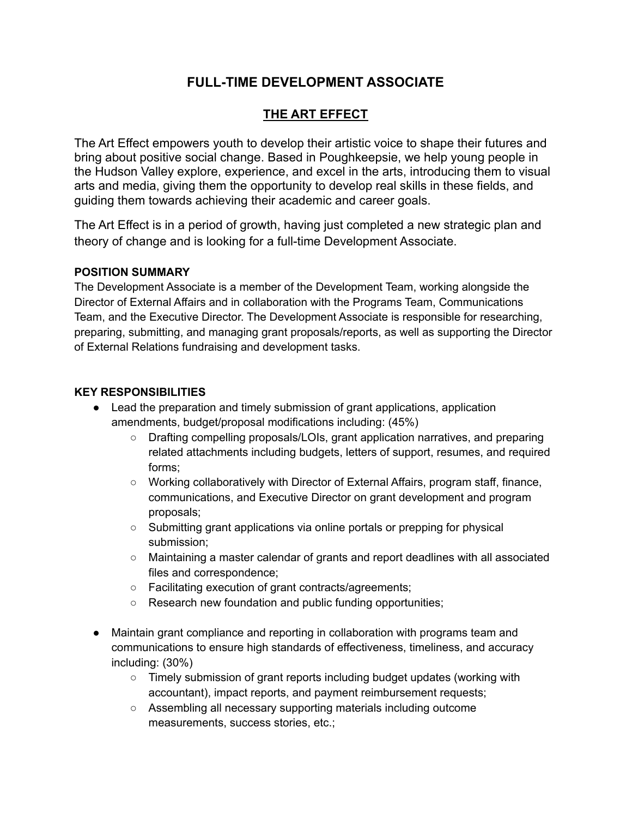## **FULL-TIME DEVELOPMENT ASSOCIATE**

## **THE ART EFFECT**

The Art Effect empowers youth to develop their artistic voice to shape their futures and bring about positive social change. Based in Poughkeepsie, we help young people in the Hudson Valley explore, experience, and excel in the arts, introducing them to visual arts and media, giving them the opportunity to develop real skills in these fields, and guiding them towards achieving their academic and career goals.

The Art Effect is in a period of growth, having just completed a new strategic plan and theory of change and is looking for a full-time Development Associate.

## **POSITION SUMMARY**

The Development Associate is a member of the Development Team, working alongside the Director of External Affairs and in collaboration with the Programs Team, Communications Team, and the Executive Director. The Development Associate is responsible for researching, preparing, submitting, and managing grant proposals/reports, as well as supporting the Director of External Relations fundraising and development tasks.

## **KEY RESPONSIBILITIES**

- Lead the preparation and timely submission of grant applications, application amendments, budget/proposal modifications including: (45%)
	- Drafting compelling proposals/LOIs, grant application narratives, and preparing related attachments including budgets, letters of support, resumes, and required forms;
	- Working collaboratively with Director of External Affairs, program staff, finance, communications, and Executive Director on grant development and program proposals;
	- Submitting grant applications via online portals or prepping for physical submission;
	- Maintaining a master calendar of grants and report deadlines with all associated files and correspondence;
	- Facilitating execution of grant contracts/agreements;
	- Research new foundation and public funding opportunities;
- Maintain grant compliance and reporting in collaboration with programs team and communications to ensure high standards of effectiveness, timeliness, and accuracy including: (30%)
	- Timely submission of grant reports including budget updates (working with accountant), impact reports, and payment reimbursement requests;
	- Assembling all necessary supporting materials including outcome measurements, success stories, etc.;